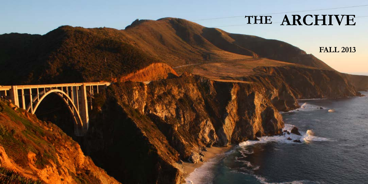# **THE ARCHIVE**

 $\overline{\mathbf{J}}$ 

**FALL 2013**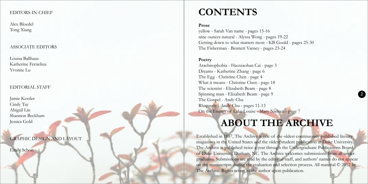#### EDITORS-IN-CHIEF

Alex Bloedel Tong Xiang

#### ASSOCIATE EDITORS

Louisa Ballhaus Katherine Fernelius Yvonne Lu

#### EDITORIAL STAFF

Jamie Kessler Cindy Tay Abigail Lin Shannon Beckham Jessica Gold

GRAPHIC DESIGN AND LAYOUT

Emily Schon

## **CONTENTS**

#### **Prose**

yellow - Sarah Van name - pages 15-16 nine ounces natural - Alyssa Wong - pages 19-22 Getting down to what matters most - KB Gould - pages 25-30 The Fisherman - Bennett Varney - pages 23-24

#### **Poetry**

Arachnophobia - Haoxiaohan Cai - page 3 Dreams - Katherine Zhang - page 6 The Egg - Christine Chen - page 4 What it means - Christine Chen - page 18 The scientist - Elizabeth Beam - page 8 Spinning man - Elizabeth Beam - page 9 The Gospel - Andy Chu Rhapsody - Andy Chu - pages 11-13 On the Energy of Lake Louise - Mary Nielsen - page 7

### **ABOUT THE ARCHIVE**

**2**

Established in 1887, The Archive is one of the oldest continuously published literary magazines in the United States and the oldest student publication at Duke University. The Archive is published twice a year through the Undergraduate Publications Board of Duke University, Durham, NC. The Archive welcomes submissions from all undergraduates. Submissions are read by the editorial staff, and authors' names do not appear on the manuscripts during the evaluation and selection process. All material © 2012 by The Archive. Rights revert to the author upon publication.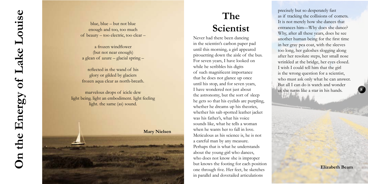# **The Scientist**

Never had there been dancing in the scientist's carbon paper pad until this morning, a girl appeared pirouetting down the aisle of the bus. For seven years, I have looked on while he scribbles his digits of such magnificent importance that he does not glance up once until his stop, and for seven years, I have wondered not just about the astronomy, but the sort of sleep he gets so that his eyelids are purpling, whether he dreams up his theories, whether his salt-spotted leather jacket was his father's, what his voice sounds like, what he tells a woman when he wants her to fall in love. Meticulous as his science is, he is not a careful man by any measure. Perhaps that is what he understands about the young girl who dances, who does not know she is improper but knows the footing for each position one through five. Her feet, he sketches in parallel and dovetailed articulations

precisely but so desperately fast as if tracking the collisions of comets. It is not merely how she dances that entrances him—Why does she dance? Why, after all these years, does he see another human being for the first time in her gray pea coat, with the sleeves too long, her galoshes slogging along after her resolute steps, her small nose wrinkled at the bridge, her eyes closed. I wish I could tell him that the girl is the wrong question for a scientist, who must ask only what he can answer. But all I can do is watch and wonder as she turns like a star in his hands.

**Elizabeth Beam**

**8**